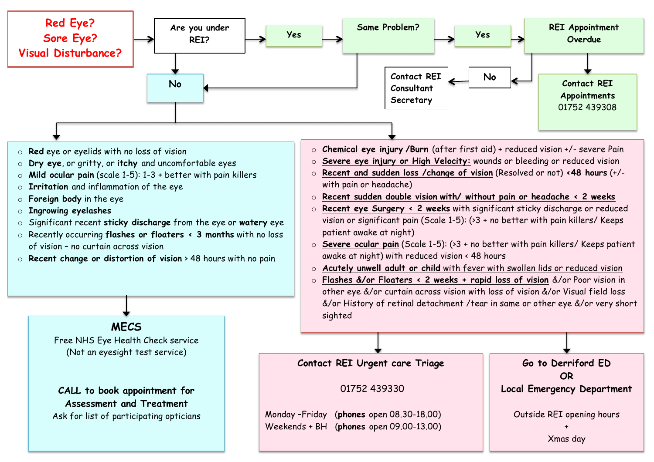